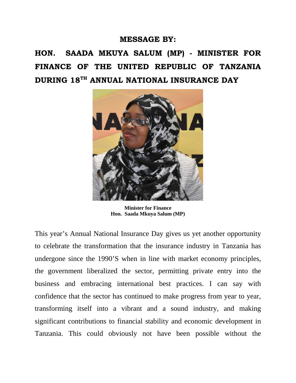## **MESSAGE BY:**

**HON. SAADA MKUYA SALUM (MP) - MINISTER FOR FINANCE OF THE UNITED REPUBLIC OF TANZANIA DURING 18TH ANNUAL NATIONAL INSURANCE DAY**



**Minister for Finance Hon. Saada Mkuya Salum (MP)**

This year's Annual National Insurance Day gives us yet another opportunity to celebrate the transformation that the insurance industry in Tanzania has undergone since the 1990'S when in line with market economy principles, the government liberalized the sector, permitting private entry into the business and embracing international best practices. I can say with confidence that the sector has continued to make progress from year to year, transforming itself into a vibrant and a sound industry, and making significant contributions to financial stability and economic development in Tanzania. This could obviously not have been possible without the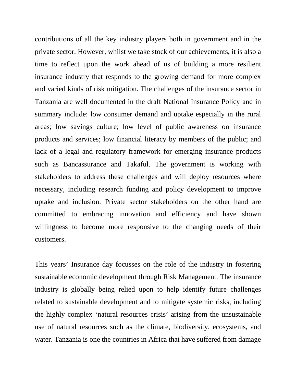contributions of all the key industry players both in government and in the private sector. However, whilst we take stock of our achievements, it is also a time to reflect upon the work ahead of us of building a more resilient insurance industry that responds to the growing demand for more complex and varied kinds of risk mitigation. The challenges of the insurance sector in Tanzania are well documented in the draft National Insurance Policy and in summary include: low consumer demand and uptake especially in the rural areas; low savings culture; low level of public awareness on insurance products and services; low financial literacy by members of the public; and lack of a legal and regulatory framework for emerging insurance products such as Bancassurance and Takaful. The government is working with stakeholders to address these challenges and will deploy resources where necessary, including research funding and policy development to improve uptake and inclusion. Private sector stakeholders on the other hand are committed to embracing innovation and efficiency and have shown willingness to become more responsive to the changing needs of their customers.

This years' Insurance day focusses on the role of the industry in fostering sustainable economic development through Risk Management. The insurance industry is globally being relied upon to help identify future challenges related to sustainable development and to mitigate systemic risks, including the highly complex 'natural resources crisis' arising from the unsustainable use of natural resources such as the climate, biodiversity, ecosystems, and water. Tanzania is one the countries in Africa that have suffered from damage